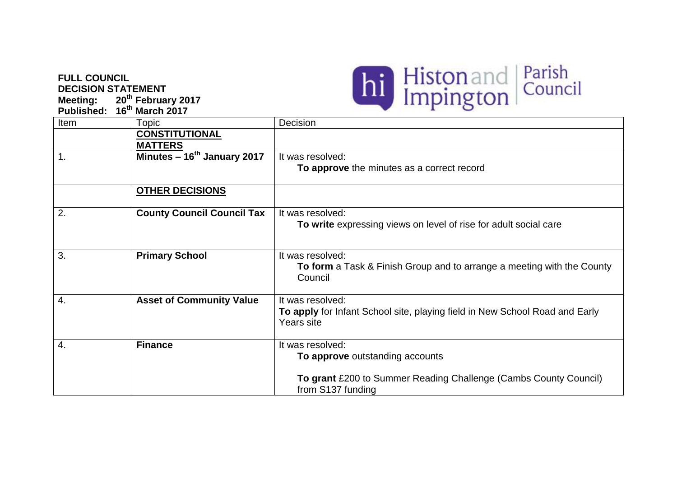## **FULL COUNCIL DECISION STATEMENT**

**Meeting: 20th February 2017 Published: 16 th March 2017**



| Item | Topic                                   | Decision                                                                                                                |
|------|-----------------------------------------|-------------------------------------------------------------------------------------------------------------------------|
|      | <b>CONSTITUTIONAL</b><br><b>MATTERS</b> |                                                                                                                         |
| 1.   | Minutes - 16 <sup>th</sup> January 2017 | It was resolved:<br>To approve the minutes as a correct record                                                          |
|      | <b>OTHER DECISIONS</b>                  |                                                                                                                         |
| 2.   | <b>County Council Council Tax</b>       | It was resolved:<br>To write expressing views on level of rise for adult social care                                    |
| 3.   | <b>Primary School</b>                   | It was resolved:<br>To form a Task & Finish Group and to arrange a meeting with the County<br>Council                   |
| 4.   | <b>Asset of Community Value</b>         | It was resolved:<br>To apply for Infant School site, playing field in New School Road and Early<br>Years site           |
| 4.   | <b>Finance</b>                          | It was resolved:<br>To approve outstanding accounts<br>To grant £200 to Summer Reading Challenge (Cambs County Council) |
|      |                                         | from S137 funding                                                                                                       |